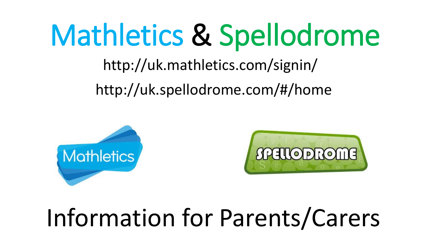# Mathletics & Spellodrome

http://uk.mathletics.com/signin/

http://uk.spellodrome.com/#/home





#### Information for Parents/Carers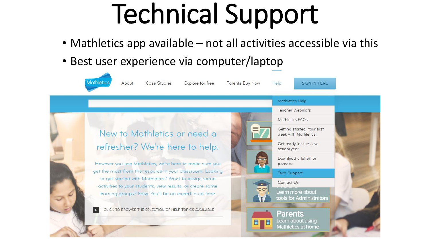# Technical Support

- Mathletics app available not all activities accessible via this
- Best user experience via computer/laptop

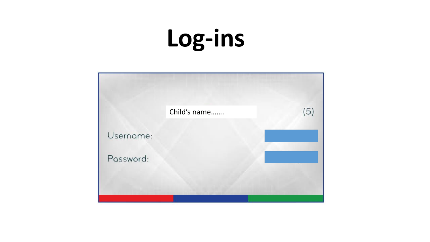### Log-ins

|           | Child's name | (5) |
|-----------|--------------|-----|
| Username: |              |     |
| Password: |              |     |
|           |              |     |
|           |              |     |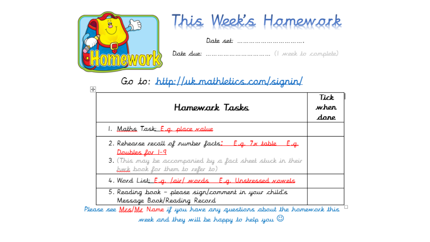



#### Go to: http://uk.mathletics.com/signin/

| Hamewark Tasks                                                                                                                                                                    | Tick<br>when<br>dare |
|-----------------------------------------------------------------------------------------------------------------------------------------------------------------------------------|----------------------|
| 1. <u>Maths Task: E.g. place value</u>                                                                                                                                            |                      |
| 2. Rehearse recall of number facts: E.g. 7x table E.g.<br>Doubles for 1-9<br><b>3.</b> (This may be accompanied by a fact sheet stuck in their<br>buck book for them to refer to) |                      |
| 4. Word List: E.g. <i>Jair/ mor</i> ds E.g. Unstressed <i>nome</i> ls                                                                                                             |                      |
| 5. Reading book – please sign/comment in your child's<br>Message Book/Reading Record                                                                                              |                      |
| Please see Mas/Ma Name if you have any questions about the homework this                                                                                                          |                      |

week and they will be happy to help you  $\mathbb G$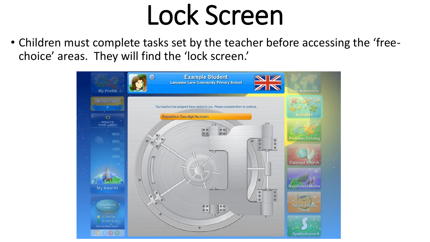## Lock Screen

• Children must complete tasks set by the teacher before accessing the 'freechoice' areas. They will find the 'lock screen.'

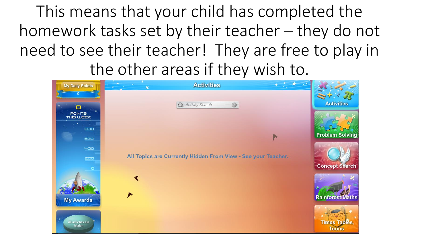This means that your child has completed the homework tasks set by their teacher – they do not need to see their teacher! They are free to play in the other areas if they wish to.